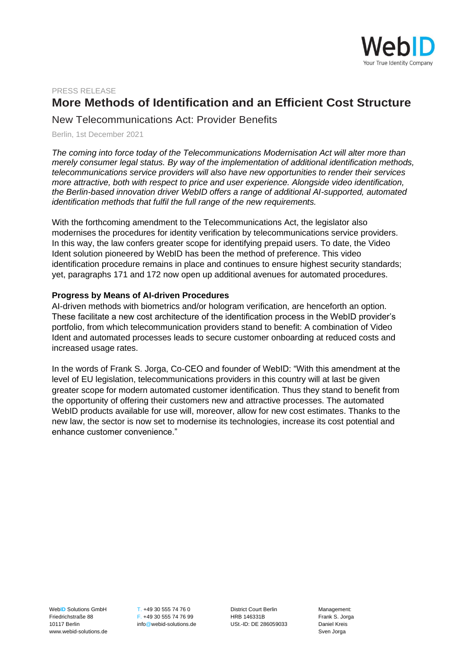

## PRESS RELEASE

## **More Methods of Identification and an Efficient Cost Structure**

New Telecommunications Act: Provider Benefits

Berlin, 1st December 2021

*The coming into force today of the Telecommunications Modernisation Act will alter more than merely consumer legal status. By way of the implementation of additional identification methods, telecommunications service providers will also have new opportunities to render their services more attractive, both with respect to price and user experience. Alongside video identification, the Berlin-based innovation driver WebID offers a range of additional AI-supported, automated identification methods that fulfil the full range of the new requirements.*

With the forthcoming amendment to the Telecommunications Act, the legislator also modernises the procedures for identity verification by telecommunications service providers. In this way, the law confers greater scope for identifying prepaid users. To date, the Video Ident solution pioneered by WebID has been the method of preference. This video identification procedure remains in place and continues to ensure highest security standards; yet, paragraphs 171 and 172 now open up additional avenues for automated procedures.

## **Progress by Means of AI-driven Procedures**

AI-driven methods with biometrics and/or hologram verification, are henceforth an option. These facilitate a new cost architecture of the identification process in the WebID provider's portfolio, from which telecommunication providers stand to benefit: A combination of Video Ident and automated processes leads to secure customer onboarding at reduced costs and increased usage rates.

In the words of Frank S. Jorga, Co-CEO and founder of WebID: "With this amendment at the level of EU legislation, telecommunications providers in this country will at last be given greater scope for modern automated customer identification. Thus they stand to benefit from the opportunity of offering their customers new and attractive processes. The automated WebID products available for use will, moreover, allow for new cost estimates. Thanks to the new law, the sector is now set to modernise its technologies, increase its cost potential and enhance customer convenience."